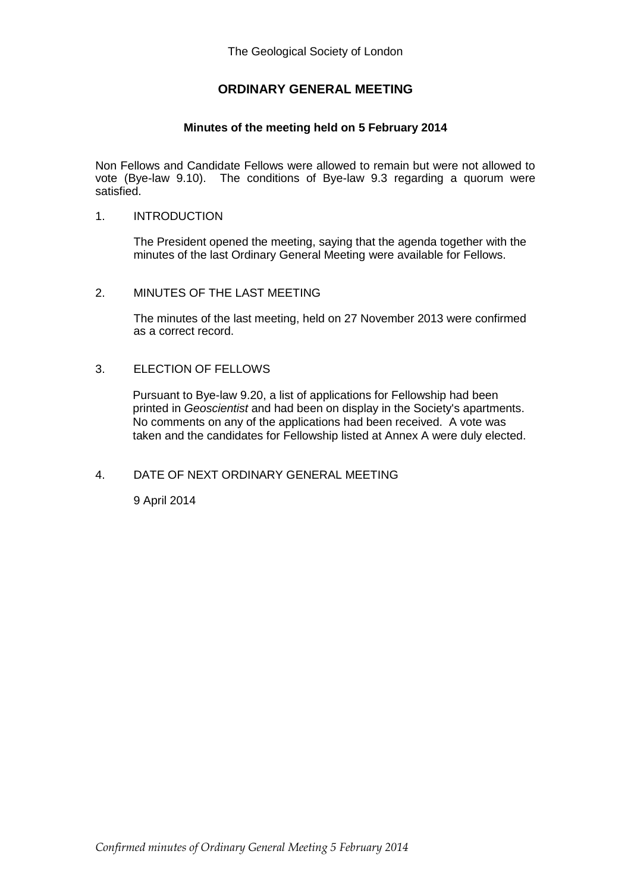# **ORDINARY GENERAL MEETING**

# **Minutes of the meeting held on 5 February 2014**

Non Fellows and Candidate Fellows were allowed to remain but were not allowed to vote (Bye-law 9.10). The conditions of Bye-law 9.3 regarding a quorum were satisfied.

## 1. INTRODUCTION

The President opened the meeting, saying that the agenda together with the minutes of the last Ordinary General Meeting were available for Fellows.

## 2. MINUTES OF THE LAST MEETING

The minutes of the last meeting, held on 27 November 2013 were confirmed as a correct record.

#### 3. ELECTION OF FELLOWS

Pursuant to Bye-law 9.20, a list of applications for Fellowship had been printed in *Geoscientist* and had been on display in the Society's apartments. No comments on any of the applications had been received. A vote was taken and the candidates for Fellowship listed at Annex A were duly elected.

## 4. DATE OF NEXT ORDINARY GENERAL MEETING

9 April 2014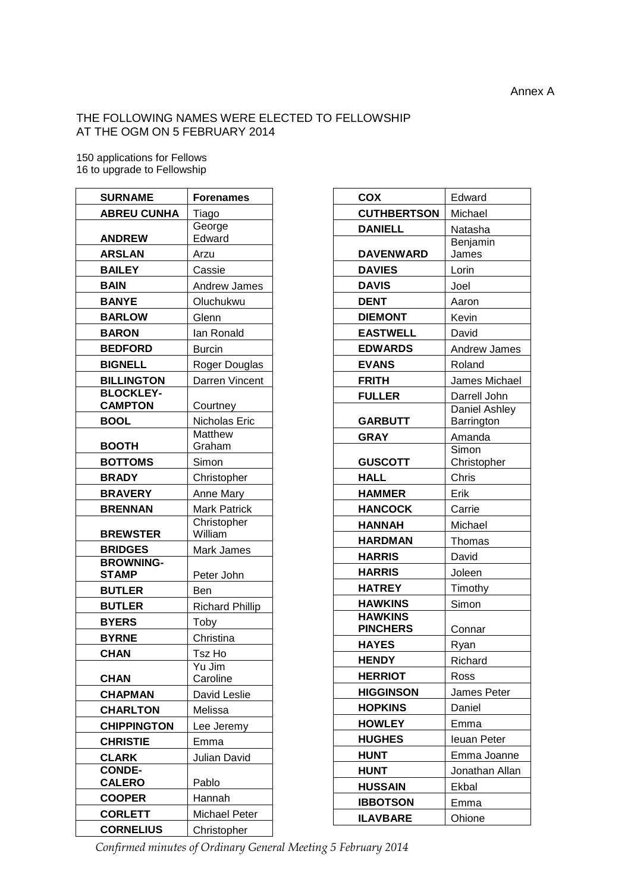# THE FOLLOWING NAMES WERE ELECTED TO FELLOWSHIP AT THE OGM ON 5 FEBRUARY 2014

150 applications for Fellows 16 to upgrade to Fellowship

| <b>SURNAME</b>     | <b>Forenames</b>       |
|--------------------|------------------------|
| <b>ABREU CUNHA</b> | Tiago                  |
|                    | George                 |
| <b>ANDREW</b>      | Edward                 |
| <b>ARSLAN</b>      | Arzu                   |
| <b>BAILEY</b>      | Cassie                 |
| <b>BAIN</b>        | Andrew James           |
| <b>BANYE</b>       | Oluchukwu              |
| <b>BARLOW</b>      | Glenn                  |
| <b>BARON</b>       | Ian Ronald             |
| <b>BEDFORD</b>     | <b>Burcin</b>          |
| <b>BIGNELL</b>     | Roger Douglas          |
| <b>BILLINGTON</b>  | Darren Vincent         |
| <b>BLOCKLEY-</b>   |                        |
| <b>CAMPTON</b>     | Courtney               |
| <b>BOOL</b>        | Nicholas Eric          |
| <b>BOOTH</b>       | Matthew<br>Graham      |
|                    |                        |
| <b>BOTTOMS</b>     | Simon                  |
| <b>BRADY</b>       | Christopher            |
| <b>BRAVERY</b>     | Anne Mary              |
| <b>BRENNAN</b>     | <b>Mark Patrick</b>    |
| <b>BREWSTER</b>    | Christopher<br>William |
| <b>BRIDGES</b>     | Mark James             |
| <b>BROWNING-</b>   |                        |
| <b>STAMP</b>       | Peter John             |
| <b>BUTLER</b>      | Ben                    |
| <b>BUTLER</b>      | <b>Richard Phillip</b> |
| <b>BYERS</b>       | Toby                   |
| <b>BYRNE</b>       | Christina              |
| <b>CHAN</b>        | Tsz Ho                 |
|                    | $\overline{Yu}$ Jim    |
| <b>CHAN</b>        | Caroline               |
| <b>CHAPMAN</b>     | David Leslie           |
| <b>CHARLTON</b>    | Melissa                |
| <b>CHIPPINGTON</b> | Lee Jeremy             |
| <b>CHRISTIE</b>    | Emma                   |
| <b>CLARK</b>       | Julian David           |
| <b>CONDE-</b>      |                        |
| <b>CALERO</b>      | Pablo                  |
| <b>COOPER</b>      | Hannah                 |
| <b>CORLETT</b>     | <b>Michael Peter</b>   |
| <b>CORNELIUS</b>   | Christopher            |

| <b>COX</b>         | Edward               |
|--------------------|----------------------|
| <b>CUTHBERTSON</b> | Michael              |
| <b>DANIELL</b>     | Natasha              |
|                    | Benjamin             |
| <b>DAVENWARD</b>   | James                |
| <b>DAVIES</b>      | Lorin                |
| <b>DAVIS</b>       | Joel                 |
| <b>DENT</b>        | Aaron                |
| <b>DIEMONT</b>     | Kevin                |
| <b>EASTWELL</b>    | David                |
| <b>EDWARDS</b>     | <b>Andrew James</b>  |
| <b>EVANS</b>       | Roland               |
| <b>FRITH</b>       | James Michael        |
| <b>FULLER</b>      | Darrell John         |
|                    | Daniel Ashley        |
| <b>GARBUTT</b>     | Barrington           |
| <b>GRAY</b>        | Amanda               |
| <b>GUSCOTT</b>     | Simon<br>Christopher |
| <b>HALL</b>        | Chris                |
| <b>HAMMER</b>      | Erik                 |
| <b>HANCOCK</b>     | Carrie               |
| <b>HANNAH</b>      | Michael              |
| <b>HARDMAN</b>     | Thomas               |
| <b>HARRIS</b>      | David                |
| <b>HARRIS</b>      | Joleen               |
| <b>HATREY</b>      | Timothy              |
| <b>HAWKINS</b>     | Simon                |
| <b>HAWKINS</b>     |                      |
| <b>PINCHERS</b>    | Connar               |
| <b>HAYES</b>       | Ryan                 |
| <b>HENDY</b>       | Richard              |
| <b>HERRIOT</b>     | Ross                 |
| <b>HIGGINSON</b>   | James Peter          |
| <b>HOPKINS</b>     | Daniel               |
| <b>HOWLEY</b>      | Emma                 |
| <b>HUGHES</b>      | <b>leuan Peter</b>   |
| <b>HUNT</b>        | Emma Joanne          |
| <b>HUNT</b>        | Jonathan Allan       |
| <b>HUSSAIN</b>     | Ekbal                |
| <b>IBBOTSON</b>    | Emma                 |
| <b>ILAVBARE</b>    | Ohione               |
|                    |                      |

*Confirmed minutes of Ordinary General Meeting 5 February 2014*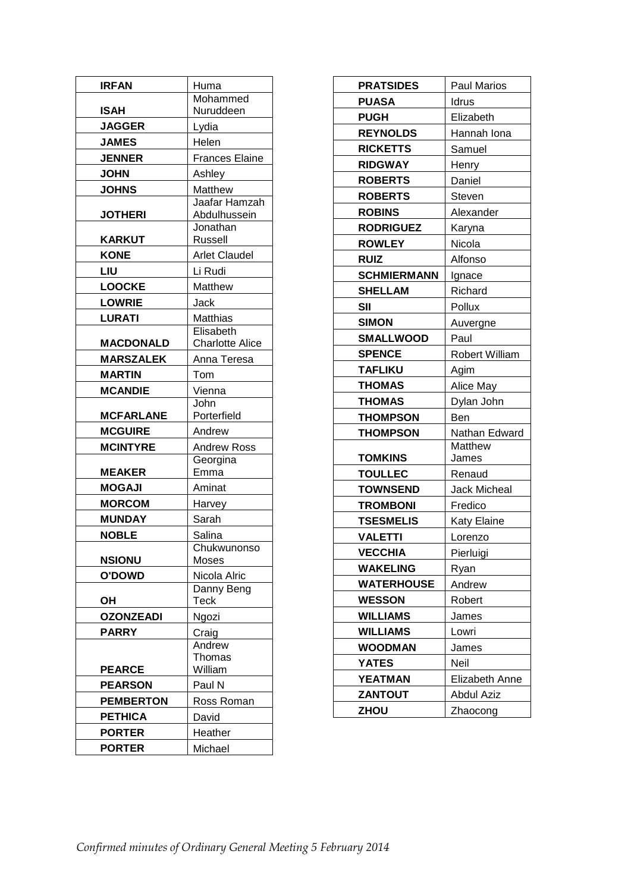| <b>IRFAN</b>     | Huma                   |
|------------------|------------------------|
|                  | Mohammed               |
| <b>ISAH</b>      | Nuruddeen              |
| <b>JAGGER</b>    | Lydia                  |
| <b>JAMES</b>     | Helen                  |
| <b>JENNER</b>    | <b>Frances Elaine</b>  |
| <b>JOHN</b>      | Ashley                 |
| <b>JOHNS</b>     | Matthew                |
|                  | Jaafar Hamzah          |
| <b>JOTHERI</b>   | Abdulhussein           |
| <b>KARKUT</b>    | Jonathan<br>Russell    |
| <b>KONE</b>      | <b>Arlet Claudel</b>   |
| LIU              | Li Rudi                |
| <b>LOOCKE</b>    | Matthew                |
| <b>LOWRIE</b>    | Jack                   |
| <b>LURATI</b>    | Matthias               |
|                  | Elisabeth              |
| <b>MACDONALD</b> | <b>Charlotte Alice</b> |
| <b>MARSZALEK</b> | Anna Teresa            |
| <b>MARTIN</b>    | Tom                    |
| <b>MCANDIE</b>   | Vienna                 |
|                  | John                   |
| <b>MCFARLANE</b> | Porterfield            |
| <b>MCGUIRE</b>   | Andrew                 |
| <b>MCINTYRE</b>  | Andrew Ross            |
|                  | Georgina               |
| <b>MEAKER</b>    | Emma                   |
| <b>MOGAJI</b>    | Aminat                 |
| <b>MORCOM</b>    | Harvey                 |
| <b>MUNDAY</b>    | Sarah                  |
| <b>NOBLE</b>     | Salina                 |
| <b>NSIONU</b>    | Chukwunonso<br>Moses   |
| <b>O'DOWD</b>    | Nicola Alric           |
|                  | Danny Beng             |
| ΟH               | <b>Teck</b>            |
| <b>OZONZEADI</b> | Ngozi                  |
| <b>PARRY</b>     | Craig                  |
|                  | Andrew                 |
|                  | Thomas                 |
| <b>PEARCE</b>    | William                |
| <b>PEARSON</b>   | Paul N                 |
| <b>PEMBERTON</b> | Ross Roman             |
| <b>PETHICA</b>   | David                  |
| <b>PORTER</b>    | Heather                |
| <b>PORTER</b>    | Michael                |

| <b>PRATSIDES</b>   | Paul Marios    |
|--------------------|----------------|
| <b>PUASA</b>       | Idrus          |
| <b>PUGH</b>        | Elizabeth      |
| <b>REYNOLDS</b>    | Hannah Iona    |
| <b>RICKETTS</b>    | Samuel         |
| <b>RIDGWAY</b>     | Henry          |
| <b>ROBERTS</b>     | Daniel         |
| <b>ROBERTS</b>     | Steven         |
| <b>ROBINS</b>      | Alexander      |
| <b>RODRIGUEZ</b>   | Karyna         |
| <b>ROWLEY</b>      | Nicola         |
| <b>RUIZ</b>        | Alfonso        |
| <b>SCHMIERMANN</b> | Ignace         |
| <b>SHELLAM</b>     | Richard        |
| <b>SII</b>         | Pollux         |
| <b>SIMON</b>       | Auvergne       |
| <b>SMALLWOOD</b>   | Paul           |
| <b>SPENCE</b>      | Robert William |
| <b>TAFLIKU</b>     | Agim           |
| <b>THOMAS</b>      | Alice May      |
| <b>THOMAS</b>      | Dylan John     |
| <b>THOMPSON</b>    | Ben            |
| <b>THOMPSON</b>    | Nathan Edward  |
|                    | Matthew        |
| TOMKINS            | James          |
| <b>TOULLEC</b>     | Renaud         |
| <b>TOWNSEND</b>    | Jack Micheal   |
| <b>TROMBONI</b>    | Fredico        |
| <b>TSESMELIS</b>   | Katy Elaine    |
| <b>VALETTI</b>     | Lorenzo        |
| <b>VECCHIA</b>     | Pierluigi      |
| <b>WAKELING</b>    | Ryan           |
| WATERHOUSE         | Andrew         |
| <b>WESSON</b>      | Robert         |
| <b>WILLIAMS</b>    | James          |
| <b>WILLIAMS</b>    | Lowri          |
| <b>WOODMAN</b>     | James          |
| <b>YATES</b>       | Neil           |
| YEATMAN            | Elizabeth Anne |
| <b>ZANTOUT</b>     | Abdul Aziz     |
| ZHOU               | Zhaocong       |